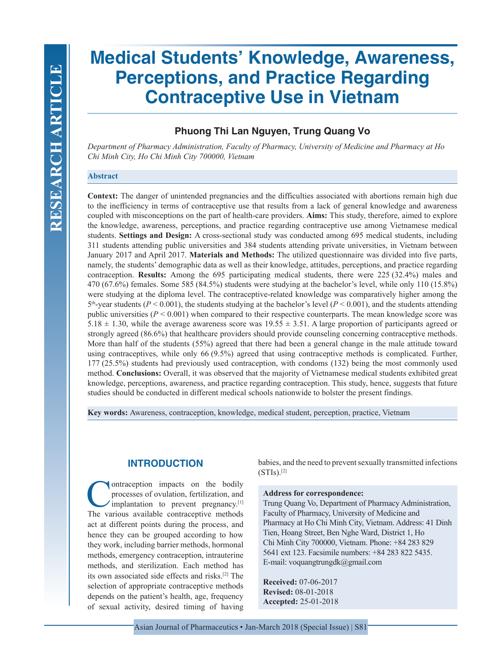# **Medical Students' Knowledge, Awareness, Perceptions, and Practice Regarding Contraceptive Use in Vietnam**

# **Phuong Thi Lan Nguyen, Trung Quang Vo**

*Department of Pharmacy Administration, Faculty of Pharmacy, University of Medicine and Pharmacy at Ho Chi Minh City, Ho Chi Minh City 700000, Vietnam*

### **Abstract**

**Context:** The danger of unintended pregnancies and the difficulties associated with abortions remain high due to the inefficiency in terms of contraceptive use that results from a lack of general knowledge and awareness coupled with misconceptions on the part of health-care providers. **Aims:** This study, therefore, aimed to explore the knowledge, awareness, perceptions, and practice regarding contraceptive use among Vietnamese medical students. **Settings and Design:** A cross-sectional study was conducted among 695 medical students, including 311 students attending public universities and 384 students attending private universities, in Vietnam between January 2017 and April 2017. **Materials and Methods:** The utilized questionnaire was divided into five parts, namely, the students' demographic data as well as their knowledge, attitudes, perceptions, and practice regarding contraception. **Results:** Among the 695 participating medical students, there were 225 (32.4%) males and 470 (67.6%) females. Some 585 (84.5%) students were studying at the bachelor's level, while only 110 (15.8%) were studying at the diploma level. The contraceptive-related knowledge was comparatively higher among the  $5<sup>th</sup>$ -year students ( $P < 0.001$ ), the students studying at the bachelor's level ( $P < 0.001$ ), and the students attending public universities  $(P < 0.001)$  when compared to their respective counterparts. The mean knowledge score was 5.18  $\pm$  1.30, while the average awareness score was 19.55  $\pm$  3.51. A large proportion of participants agreed or strongly agreed (86.6%) that healthcare providers should provide counseling concerning contraceptive methods. More than half of the students (55%) agreed that there had been a general change in the male attitude toward using contraceptives, while only 66 (9.5%) agreed that using contraceptive methods is complicated. Further, 177 (25.5%) students had previously used contraception, with condoms (132) being the most commonly used method. **Conclusions:** Overall, it was observed that the majority of Vietnamese medical students exhibited great knowledge, perceptions, awareness, and practice regarding contraception. This study, hence, suggests that future studies should be conducted in different medical schools nationwide to bolster the present findings.

**Key words:** Awareness, contraception, knowledge, medical student, perception, practice, Vietnam

# **INTRODUCTION**

**Contraception impacts on the bodily processes of ovulation, fertilization, and implantation to prevent pregnancy.**<sup>[1]</sup> The various available contracentive methods processes of ovulation, fertilization, and implantation to prevent pregnancy.[1] The various available contraceptive methods act at different points during the process, and hence they can be grouped according to how they work, including barrier methods, hormonal methods, emergency contraception, intrauterine methods, and sterilization. Each method has its own associated side effects and risks.[2] The selection of appropriate contraceptive methods depends on the patient's health, age, frequency of sexual activity, desired timing of having babies, and the need to prevent sexually transmitted infections  $(STIs).^{[2]}$ 

#### **Address for correspondence:**

Trung Quang Vo, Department of Pharmacy Administration, Faculty of Pharmacy, University of Medicine and Pharmacy at Ho Chi Minh City, Vietnam. Address: 41 Dinh Tien, Hoang Street, Ben Nghe Ward, District 1, Ho Chi Minh City 700000, Vietnam. Phone: +84 283 829 5641 ext 123. Facsimile numbers: +84 283 822 5435. E-mail: voquangtrungdk@gmail.com

**Received:** 07-06-2017 **Revised:** 08-01-2018 **Accepted:** 25-01-2018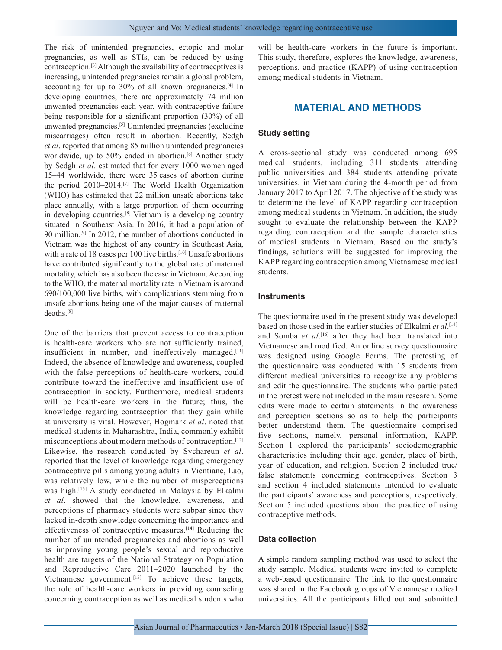The risk of unintended pregnancies, ectopic and molar pregnancies, as well as STIs, can be reduced by using contraception.[3] Although the availability of contraceptives is increasing, unintended pregnancies remain a global problem, accounting for up to 30% of all known pregnancies.[4] In developing countries, there are approximately 74 million unwanted pregnancies each year, with contraceptive failure being responsible for a significant proportion (30%) of all unwanted pregnancies.[5] Unintended pregnancies (excluding miscarriages) often result in abortion. Recently, Sedgh *et al*. reported that among 85 million unintended pregnancies worldwide, up to 50% ended in abortion.<sup>[6]</sup> Another study by Sedgh *et al*. estimated that for every 1000 women aged 15–44 worldwide, there were 35 cases of abortion during the period 2010–2014.[7] The World Health Organization (WHO) has estimated that 22 million unsafe abortions take place annually, with a large proportion of them occurring in developing countries.[8] Vietnam is a developing country situated in Southeast Asia. In 2016, it had a population of 90 million.[9] In 2012, the number of abortions conducted in Vietnam was the highest of any country in Southeast Asia, with a rate of 18 cases per 100 live births.<sup>[10]</sup> Unsafe abortions have contributed significantly to the global rate of maternal mortality, which has also been the case in Vietnam. According to the WHO, the maternal mortality rate in Vietnam is around 690/100,000 live births, with complications stemming from unsafe abortions being one of the major causes of maternal deaths.[8]

One of the barriers that prevent access to contraception is health-care workers who are not sufficiently trained, insufficient in number, and ineffectively managed.<sup>[11]</sup> Indeed, the absence of knowledge and awareness, coupled with the false perceptions of health-care workers, could contribute toward the ineffective and insufficient use of contraception in society. Furthermore, medical students will be health-care workers in the future; thus, the knowledge regarding contraception that they gain while at university is vital. However, Hogmark *et al*. noted that medical students in Maharashtra, India, commonly exhibit misconceptions about modern methods of contraception.[12] Likewise, the research conducted by Sychareun *et al*. reported that the level of knowledge regarding emergency contraceptive pills among young adults in Vientiane, Lao, was relatively low, while the number of misperceptions was high.[13] A study conducted in Malaysia by Elkalmi *et al*. showed that the knowledge, awareness, and perceptions of pharmacy students were subpar since they lacked in-depth knowledge concerning the importance and effectiveness of contraceptive measures.[14] Reducing the number of unintended pregnancies and abortions as well as improving young people's sexual and reproductive health are targets of the National Strategy on Population and Reproductive Care 2011–2020 launched by the Vietnamese government.<sup>[15]</sup> To achieve these targets, the role of health-care workers in providing counseling concerning contraception as well as medical students who

will be health-care workers in the future is important. This study, therefore, explores the knowledge, awareness, perceptions, and practice (KAPP) of using contraception among medical students in Vietnam.

## **MATERIAL AND METHODS**

#### **Study setting**

A cross-sectional study was conducted among 695 medical students, including 311 students attending public universities and 384 students attending private universities, in Vietnam during the 4-month period from January 2017 to April 2017. The objective of the study was to determine the level of KAPP regarding contraception among medical students in Vietnam. In addition, the study sought to evaluate the relationship between the KAPP regarding contraception and the sample characteristics of medical students in Vietnam. Based on the study's findings, solutions will be suggested for improving the KAPP regarding contraception among Vietnamese medical students.

#### **Instruments**

The questionnaire used in the present study was developed based on those used in the earlier studies of Elkalmi *et al*. [14] and Somba *et al*. [16] after they had been translated into Vietnamese and modified. An online survey questionnaire was designed using Google Forms. The pretesting of the questionnaire was conducted with 15 students from different medical universities to recognize any problems and edit the questionnaire. The students who participated in the pretest were not included in the main research. Some edits were made to certain statements in the awareness and perception sections so as to help the participants better understand them. The questionnaire comprised five sections, namely, personal information, KAPP. Section 1 explored the participants' sociodemographic characteristics including their age, gender, place of birth, year of education, and religion. Section 2 included true/ false statements concerning contraceptives. Section 3 and section 4 included statements intended to evaluate the participants' awareness and perceptions, respectively. Section 5 included questions about the practice of using contraceptive methods.

#### **Data collection**

A simple random sampling method was used to select the study sample. Medical students were invited to complete a web-based questionnaire. The link to the questionnaire was shared in the Facebook groups of Vietnamese medical universities. All the participants filled out and submitted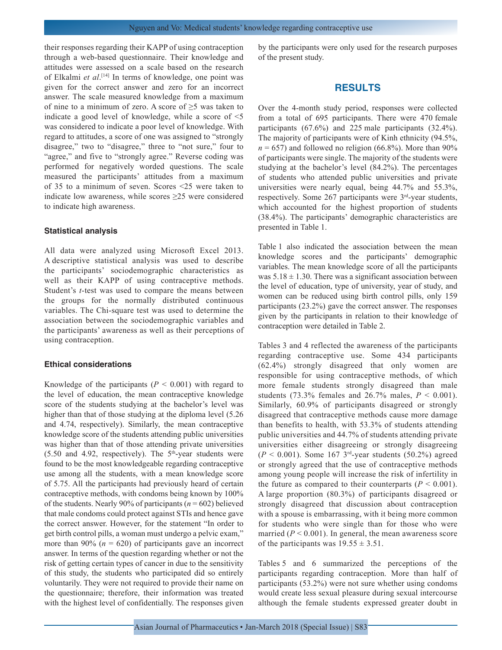their responses regarding their KAPP of using contraception through a web-based questionnaire. Their knowledge and attitudes were assessed on a scale based on the research of Elkalmi *et al*. [14] In terms of knowledge, one point was given for the correct answer and zero for an incorrect answer. The scale measured knowledge from a maximum of nine to a minimum of zero. A score of  $\geq$ 5 was taken to indicate a good level of knowledge, while a score of <5 was considered to indicate a poor level of knowledge. With regard to attitudes, a score of one was assigned to "strongly disagree," two to "disagree," three to "not sure," four to "agree," and five to "strongly agree." Reverse coding was performed for negatively worded questions. The scale measured the participants' attitudes from a maximum of 35 to a minimum of seven. Scores <25 were taken to indicate low awareness, while scores  $\geq$ 25 were considered to indicate high awareness.

#### **Statistical analysis**

All data were analyzed using Microsoft Excel 2013. A descriptive statistical analysis was used to describe the participants' sociodemographic characteristics as well as their KAPP of using contraceptive methods. Student's *t*-test was used to compare the means between the groups for the normally distributed continuous variables. The Chi-square test was used to determine the association between the sociodemographic variables and the participants' awareness as well as their perceptions of using contraception.

#### **Ethical considerations**

Knowledge of the participants  $(P < 0.001)$  with regard to the level of education, the mean contraceptive knowledge score of the students studying at the bachelor's level was higher than that of those studying at the diploma level (5.26 and 4.74, respectively). Similarly, the mean contraceptive knowledge score of the students attending public universities was higher than that of those attending private universities  $(5.50 \text{ and } 4.92, \text{ respectively})$ . The  $5^{\text{th}}$ -year students were found to be the most knowledgeable regarding contraceptive use among all the students, with a mean knowledge score of 5.75. All the participants had previously heard of certain contraceptive methods, with condoms being known by 100% of the students. Nearly 90% of participants (*n* = 602) believed that male condoms could protect against STIs and hence gave the correct answer. However, for the statement "In order to get birth control pills, a woman must undergo a pelvic exam," more than 90% ( $n = 620$ ) of participants gave an incorrect answer. In terms of the question regarding whether or not the risk of getting certain types of cancer in due to the sensitivity of this study, the students who participated did so entirely voluntarily. They were not required to provide their name on the questionnaire; therefore, their information was treated with the highest level of confidentially. The responses given by the participants were only used for the research purposes of the present study.

## **RESULTS**

Over the 4-month study period, responses were collected from a total of 695 participants. There were 470 female participants (67.6%) and 225 male participants (32.4%). The majority of participants were of Kinh ethnicity (94.5%,  $n = 657$ ) and followed no religion (66.8%). More than 90% of participants were single. The majority of the students were studying at the bachelor's level (84.2%). The percentages of students who attended public universities and private universities were nearly equal, being 44.7% and 55.3%, respectively. Some  $267$  participants were  $3<sup>rd</sup>$ -year students, which accounted for the highest proportion of students (38.4%). The participants' demographic characteristics are presented in Table 1.

Table 1 also indicated the association between the mean knowledge scores and the participants' demographic variables. The mean knowledge score of all the participants was  $5.18 \pm 1.30$ . There was a significant association between the level of education, type of university, year of study, and women can be reduced using birth control pills, only 159 participants (23.2%) gave the correct answer. The responses given by the participants in relation to their knowledge of contraception were detailed in Table 2.

Tables 3 and 4 reflected the awareness of the participants regarding contraceptive use. Some 434 participants (62.4%) strongly disagreed that only women are responsible for using contraceptive methods, of which more female students strongly disagreed than male students (73.3% females and 26.7% males,  $P < 0.001$ ). Similarly, 60.9% of participants disagreed or strongly disagreed that contraceptive methods cause more damage than benefits to health, with 53.3% of students attending public universities and 44.7% of students attending private universities either disagreeing or strongly disagreeing  $(P < 0.001)$ . Some 167 3<sup>rd</sup>-year students (50.2%) agreed or strongly agreed that the use of contraceptive methods among young people will increase the risk of infertility in the future as compared to their counterparts  $(P < 0.001)$ . A large proportion (80.3%) of participants disagreed or strongly disagreed that discussion about contraception with a spouse is embarrassing, with it being more common for students who were single than for those who were married  $(P < 0.001)$ . In general, the mean awareness score of the participants was  $19.55 \pm 3.51$ .

Tables 5 and 6 summarized the perceptions of the participants regarding contraception. More than half of participants (53.2%) were not sure whether using condoms would create less sexual pleasure during sexual intercourse although the female students expressed greater doubt in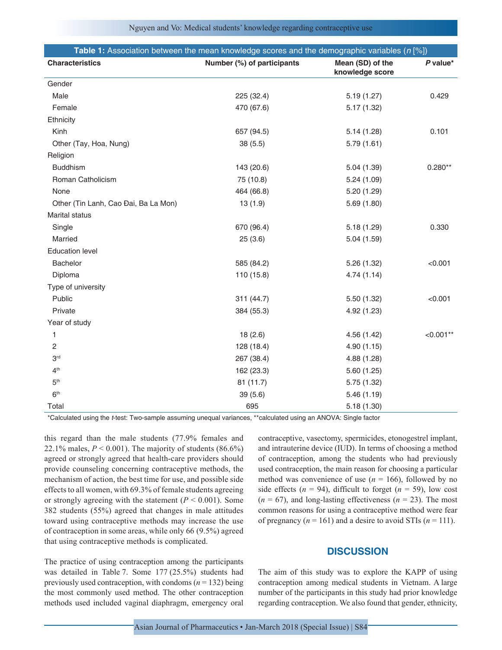| Table 1: Association between the mean knowledge scores and the demographic variables (n [%]) |                            |                                     |            |
|----------------------------------------------------------------------------------------------|----------------------------|-------------------------------------|------------|
| <b>Characteristics</b>                                                                       | Number (%) of participants | Mean (SD) of the<br>knowledge score | $P$ value* |
| Gender                                                                                       |                            |                                     |            |
| Male                                                                                         | 225 (32.4)                 | 5.19(1.27)                          | 0.429      |
| Female                                                                                       | 470 (67.6)                 | 5.17(1.32)                          |            |
| Ethnicity                                                                                    |                            |                                     |            |
| Kinh                                                                                         | 657 (94.5)                 | 5.14(1.28)                          | 0.101      |
| Other (Tay, Hoa, Nung)                                                                       | 38 (5.5)                   | 5.79(1.61)                          |            |
| Religion                                                                                     |                            |                                     |            |
| <b>Buddhism</b>                                                                              | 143 (20.6)                 | 5.04(1.39)                          | $0.280**$  |
| Roman Catholicism                                                                            | 75 (10.8)                  | 5.24(1.09)                          |            |
| None                                                                                         | 464 (66.8)                 | 5.20(1.29)                          |            |
| Other (Tin Lanh, Cao Đai, Ba La Mon)                                                         | 13(1.9)                    | 5.69(1.80)                          |            |
| <b>Marital status</b>                                                                        |                            |                                     |            |
| Single                                                                                       | 670 (96.4)                 | 5.18(1.29)                          | 0.330      |
| Married                                                                                      | 25(3.6)                    | 5.04(1.59)                          |            |
| <b>Education level</b>                                                                       |                            |                                     |            |
| Bachelor                                                                                     | 585 (84.2)                 | 5.26(1.32)                          | < 0.001    |
| Diploma                                                                                      | 110 (15.8)                 | 4.74(1.14)                          |            |
| Type of university                                                                           |                            |                                     |            |
| Public                                                                                       | 311 (44.7)                 | 5.50(1.32)                          | < 0.001    |
| Private                                                                                      | 384 (55.3)                 | 4.92 (1.23)                         |            |
| Year of study                                                                                |                            |                                     |            |
| 1                                                                                            | 18(2.6)                    | 4.56 (1.42)                         | $<0.001**$ |
| 2                                                                                            | 128 (18.4)                 | 4.90 (1.15)                         |            |
| 3 <sup>rd</sup>                                                                              | 267 (38.4)                 | 4.88 (1.28)                         |            |
| 4 <sup>th</sup>                                                                              | 162 (23.3)                 | 5.60(1.25)                          |            |
| 5 <sup>th</sup>                                                                              | 81 (11.7)                  | 5.75(1.32)                          |            |
| 6 <sup>th</sup>                                                                              | 39(5.6)                    | 5.46(1.19)                          |            |
| Total                                                                                        | 695                        | 5.18(1.30)                          |            |

\*Calculated using the *t*‑test: Two‑sample assuming unequal variances, \*\*calculated using an ANOVA: Single factor

this regard than the male students (77.9% females and 22.1% males,  $P < 0.001$ ). The majority of students  $(86.6\%)$ agreed or strongly agreed that health-care providers should provide counseling concerning contraceptive methods, the mechanism of action, the best time for use, and possible side effects to all women, with 69.3% of female students agreeing or strongly agreeing with the statement  $(P < 0.001)$ . Some 382 students (55%) agreed that changes in male attitudes toward using contraceptive methods may increase the use of contraception in some areas, while only 66 (9.5%) agreed that using contraceptive methods is complicated.

The practice of using contraception among the participants was detailed in Table 7. Some 177 (25.5%) students had previously used contraception, with condoms  $(n = 132)$  being the most commonly used method. The other contraception methods used included vaginal diaphragm, emergency oral contraceptive, vasectomy, spermicides, etonogestrel implant, and intrauterine device (IUD). In terms of choosing a method of contraception, among the students who had previously used contraception, the main reason for choosing a particular method was convenience of use  $(n = 166)$ , followed by no side effects  $(n = 94)$ , difficult to forget  $(n = 59)$ , low cost  $(n = 67)$ , and long-lasting effectiveness  $(n = 23)$ . The most common reasons for using a contraceptive method were fear of pregnancy  $(n = 161)$  and a desire to avoid STIs  $(n = 111)$ .

# **DISCUSSION**

The aim of this study was to explore the KAPP of using contraception among medical students in Vietnam. A large number of the participants in this study had prior knowledge regarding contraception. We also found that gender, ethnicity,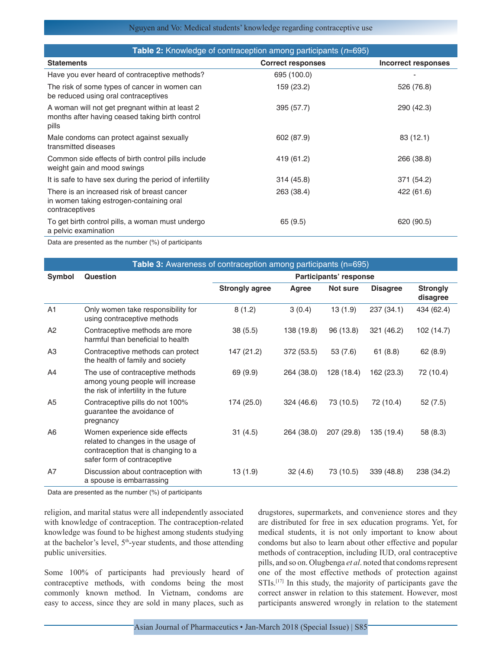## Nguyen and Vo: Medical students' knowledge regarding contraceptive use

| <b>Table 2:</b> Knowledge of contraception among participants ( $n=695$ )                                   |                          |                            |  |  |
|-------------------------------------------------------------------------------------------------------------|--------------------------|----------------------------|--|--|
| <b>Statements</b>                                                                                           | <b>Correct responses</b> | <b>Incorrect responses</b> |  |  |
| Have you ever heard of contraceptive methods?                                                               | 695 (100.0)              |                            |  |  |
| The risk of some types of cancer in women can<br>be reduced using oral contraceptives                       | 159 (23.2)               | 526 (76.8)                 |  |  |
| A woman will not get pregnant within at least 2<br>months after having ceased taking birth control<br>pills | 395 (57.7)               | 290 (42.3)                 |  |  |
| Male condoms can protect against sexually<br>transmitted diseases                                           | 602 (87.9)               | 83 (12.1)                  |  |  |
| Common side effects of birth control pills include<br>weight gain and mood swings                           | 419 (61.2)               | 266 (38.8)                 |  |  |
| It is safe to have sex during the period of infertility                                                     | 314 (45.8)               | 371 (54.2)                 |  |  |
| There is an increased risk of breast cancer<br>in women taking estrogen-containing oral<br>contraceptives   | 263 (38.4)               | 422 (61.6)                 |  |  |
| To get birth control pills, a woman must undergo<br>a pelvic examination                                    | 65 (9.5)                 | 620 (90.5)                 |  |  |

Data are presented as the number (%) of participants

| <b>Table 3:</b> Awareness of contraception among participants (n=695) |                                                                                                                                           |                        |            |            |                 |                             |
|-----------------------------------------------------------------------|-------------------------------------------------------------------------------------------------------------------------------------------|------------------------|------------|------------|-----------------|-----------------------------|
| Symbol                                                                | Question                                                                                                                                  | Participants' response |            |            |                 |                             |
|                                                                       |                                                                                                                                           | <b>Strongly agree</b>  | Agree      | Not sure   | <b>Disagree</b> | <b>Strongly</b><br>disagree |
| A1                                                                    | Only women take responsibility for<br>using contraceptive methods                                                                         | 8(1.2)                 | 3(0.4)     | 13 (1.9)   | 237 (34.1)      | 434 (62.4)                  |
| A2                                                                    | Contraceptive methods are more<br>harmful than beneficial to health                                                                       | 38 (5.5)               | 138 (19.8) | 96 (13.8)  | 321 (46.2)      | 102 (14.7)                  |
| A3                                                                    | Contraceptive methods can protect<br>the health of family and society                                                                     | 147 (21.2)             | 372 (53.5) | 53 (7.6)   | 61(8.8)         | 62(8.9)                     |
| A4                                                                    | The use of contraceptive methods<br>among young people will increase<br>the risk of infertility in the future                             | 69 (9.9)               | 264 (38.0) | 128 (18.4) | 162 (23.3)      | 72 (10.4)                   |
| A <sub>5</sub>                                                        | Contraceptive pills do not 100%<br>guarantee the avoidance of<br>pregnancy                                                                | 174 (25.0)             | 324 (46.6) | 73 (10.5)  | 72 (10.4)       | 52(7.5)                     |
| A <sub>6</sub>                                                        | Women experience side effects<br>related to changes in the usage of<br>contraception that is changing to a<br>safer form of contraceptive | 31(4.5)                | 264 (38.0) | 207 (29.8) | 135 (19.4)      | 58 (8.3)                    |
| A7                                                                    | Discussion about contraception with<br>a spouse is embarrassing                                                                           | 13 (1.9)               | 32(4.6)    | 73 (10.5)  | 339 (48.8)      | 238 (34.2)                  |

Data are presented as the number (%) of participants

religion, and marital status were all independently associated with knowledge of contraception. The contraception-related knowledge was found to be highest among students studying at the bachelor's level,  $5<sup>th</sup>$ -year students, and those attending public universities.

Some 100% of participants had previously heard of contraceptive methods, with condoms being the most commonly known method. In Vietnam, condoms are easy to access, since they are sold in many places, such as

drugstores, supermarkets, and convenience stores and they are distributed for free in sex education programs. Yet, for medical students, it is not only important to know about condoms but also to learn about other effective and popular methods of contraception, including IUD, oral contraceptive pills, and so on. Olugbenga *et al*. noted that condoms represent one of the most effective methods of protection against STIs.<sup>[17]</sup> In this study, the majority of participants gave the correct answer in relation to this statement. However, most participants answered wrongly in relation to the statement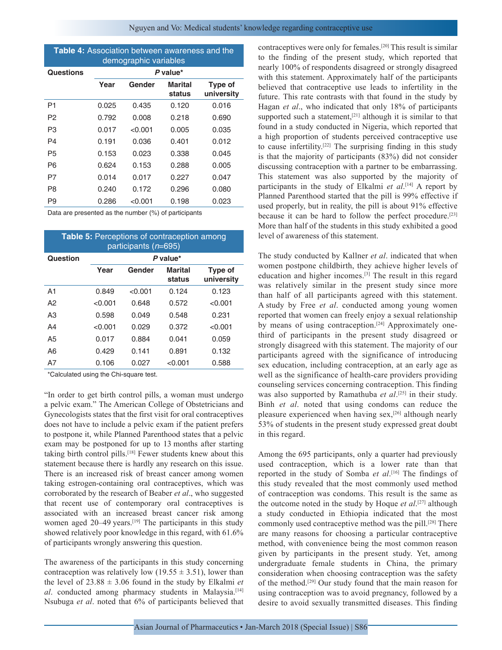| <b>Table 4:</b> Association between awareness and the<br>demographic variables |          |         |                   |                       |  |
|--------------------------------------------------------------------------------|----------|---------|-------------------|-----------------------|--|
| <b>Questions</b>                                                               | P value* |         |                   |                       |  |
|                                                                                | Year     | Gender  | Marital<br>status | Type of<br>university |  |
| P1                                                                             | 0.025    | 0.435   | 0.120             | 0.016                 |  |
| P2                                                                             | 0.792    | 0.008   | 0.218             | 0.690                 |  |
| P3                                                                             | 0.017    | < 0.001 | 0.005             | 0.035                 |  |
| P4                                                                             | 0.191    | 0.036   | 0.401             | 0.012                 |  |
| P <sub>5</sub>                                                                 | 0.153    | 0.023   | 0.338             | 0.045                 |  |
| P6                                                                             | 0.624    | 0.153   | 0.288             | 0.005                 |  |
| P7                                                                             | 0.014    | 0.017   | 0.227             | 0.047                 |  |
| P8                                                                             | 0.240    | 0.172   | 0.296             | 0.080                 |  |
| P9                                                                             | 0.286    | < 0.001 | 0.198             | 0.023                 |  |

Data are presented as the number (%) of participants

| <b>Table 5: Perceptions of contraception among</b><br>participants (n=695) |          |         |                   |                       |
|----------------------------------------------------------------------------|----------|---------|-------------------|-----------------------|
| Question                                                                   | P value* |         |                   |                       |
|                                                                            | Year     | Gender  | Marital<br>status | Type of<br>university |
| A <sub>1</sub>                                                             | 0.849    | < 0.001 | 0.124             | 0.123                 |
| A2                                                                         | < 0.001  | 0.648   | 0.572             | < 0.001               |
| A3                                                                         | 0.598    | 0.049   | 0.548             | 0.231                 |
| A4                                                                         | < 0.001  | 0.029   | 0.372             | < 0.001               |
| A5                                                                         | 0.017    | 0.884   | 0.041             | 0.059                 |
| A6                                                                         | 0.429    | 0.141   | 0.891             | 0.132                 |
| Α7                                                                         | 0.106    | 0.027   | < 0.001           | 0.588                 |

\*Calculated using the Chi‑square test.

"In order to get birth control pills, a woman must undergo a pelvic exam." The American College of Obstetricians and Gynecologists states that the first visit for oral contraceptives does not have to include a pelvic exam if the patient prefers to postpone it, while Planned Parenthood states that a pelvic exam may be postponed for up to 13 months after starting taking birth control pills.<sup>[18]</sup> Fewer students knew about this statement because there is hardly any research on this issue. There is an increased risk of breast cancer among women taking estrogen-containing oral contraceptives, which was corroborated by the research of Beaber *et al*., who suggested that recent use of contemporary oral contraceptives is associated with an increased breast cancer risk among women aged 20–49 years.<sup>[19]</sup> The participants in this study showed relatively poor knowledge in this regard, with 61.6% of participants wrongly answering this question.

The awareness of the participants in this study concerning contraception was relatively low (19.55  $\pm$  3.51), lower than the level of  $23.88 \pm 3.06$  found in the study by Elkalmi *et al*. conducted among pharmacy students in Malaysia.<sup>[14]</sup> Nsubuga *et al*. noted that 6% of participants believed that contraceptives were only for females.[20] This result is similar to the finding of the present study, which reported that nearly 100% of respondents disagreed or strongly disagreed with this statement. Approximately half of the participants believed that contraceptive use leads to infertility in the future. This rate contrasts with that found in the study by Hagan *et al*., who indicated that only 18% of participants supported such a statement,<sup>[21]</sup> although it is similar to that found in a study conducted in Nigeria, which reported that a high proportion of students perceived contraceptive use to cause infertility.[22] The surprising finding in this study is that the majority of participants (83%) did not consider discussing contraception with a partner to be embarrassing. This statement was also supported by the majority of participants in the study of Elkalmi *et al*. [14] A report by Planned Parenthood started that the pill is 99% effective if used properly, but in reality, the pill is about 91% effective because it can be hard to follow the perfect procedure.[23] More than half of the students in this study exhibited a good level of awareness of this statement.

The study conducted by Kallner *et al*. indicated that when women postpone childbirth, they achieve higher levels of education and higher incomes.[3] The result in this regard was relatively similar in the present study since more than half of all participants agreed with this statement. A study by Free *et al*. conducted among young women reported that women can freely enjoy a sexual relationship by means of using contraception.<sup>[24]</sup> Approximately onethird of participants in the present study disagreed or strongly disagreed with this statement. The majority of our participants agreed with the significance of introducing sex education, including contraception, at an early age as well as the significance of health-care providers providing counseling services concerning contraception. This finding was also supported by Ramathuba *et al*. [25] in their study. Binh *et al*. noted that using condoms can reduce the pleasure experienced when having sex,[26] although nearly 53% of students in the present study expressed great doubt in this regard.

Among the 695 participants, only a quarter had previously used contraception, which is a lower rate than that reported in the study of Somba *et al*. [16] The findings of this study revealed that the most commonly used method of contraception was condoms. This result is the same as the outcome noted in the study by Hoque *et al*. [27] although a study conducted in Ethiopia indicated that the most commonly used contraceptive method was the pill.[28] There are many reasons for choosing a particular contraceptive method, with convenience being the most common reason given by participants in the present study. Yet, among undergraduate female students in China, the primary consideration when choosing contraception was the safety of the method.[29] Our study found that the main reason for using contraception was to avoid pregnancy, followed by a desire to avoid sexually transmitted diseases. This finding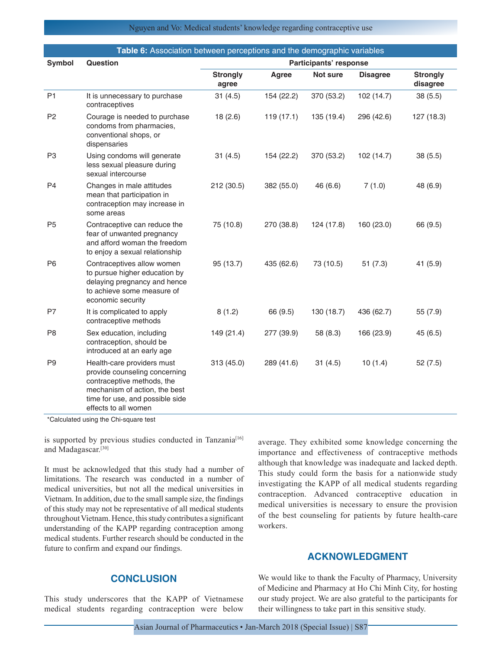| Table 6: Association between perceptions and the demographic variables |                                                                                                                                                                                       |                          |              |            |                 |                             |
|------------------------------------------------------------------------|---------------------------------------------------------------------------------------------------------------------------------------------------------------------------------------|--------------------------|--------------|------------|-----------------|-----------------------------|
| Symbol                                                                 | Question                                                                                                                                                                              | Participants' response   |              |            |                 |                             |
|                                                                        |                                                                                                                                                                                       | <b>Strongly</b><br>agree | <b>Agree</b> | Not sure   | <b>Disagree</b> | <b>Strongly</b><br>disagree |
| P <sub>1</sub>                                                         | It is unnecessary to purchase<br>contraceptives                                                                                                                                       | 31(4.5)                  | 154 (22.2)   | 370 (53.2) | 102 (14.7)      | 38(5.5)                     |
| P <sub>2</sub>                                                         | Courage is needed to purchase<br>condoms from pharmacies,<br>conventional shops, or<br>dispensaries                                                                                   | 18(2.6)                  | 119(17.1)    | 135 (19.4) | 296 (42.6)      | 127 (18.3)                  |
| P <sub>3</sub>                                                         | Using condoms will generate<br>less sexual pleasure during<br>sexual intercourse                                                                                                      | 31(4.5)                  | 154 (22.2)   | 370 (53.2) | 102 (14.7)      | 38(5.5)                     |
| P <sub>4</sub>                                                         | Changes in male attitudes<br>mean that participation in<br>contraception may increase in<br>some areas                                                                                | 212 (30.5)               | 382 (55.0)   | 46 (6.6)   | 7(1.0)          | 48 (6.9)                    |
| P <sub>5</sub>                                                         | Contraceptive can reduce the<br>fear of unwanted pregnancy<br>and afford woman the freedom<br>to enjoy a sexual relationship                                                          | 75 (10.8)                | 270 (38.8)   | 124 (17.8) | 160 (23.0)      | 66 (9.5)                    |
| P <sub>6</sub>                                                         | Contraceptives allow women<br>to pursue higher education by<br>delaying pregnancy and hence<br>to achieve some measure of<br>economic security                                        | 95 (13.7)                | 435 (62.6)   | 73 (10.5)  | 51(7.3)         | 41 (5.9)                    |
| P7                                                                     | It is complicated to apply<br>contraceptive methods                                                                                                                                   | 8(1.2)                   | 66 (9.5)     | 130 (18.7) | 436 (62.7)      | 55 (7.9)                    |
| P <sub>8</sub>                                                         | Sex education, including<br>contraception, should be<br>introduced at an early age                                                                                                    | 149 (21.4)               | 277 (39.9)   | 58 (8.3)   | 166 (23.9)      | 45 (6.5)                    |
| P <sub>9</sub>                                                         | Health-care providers must<br>provide counseling concerning<br>contraceptive methods, the<br>mechanism of action, the best<br>time for use, and possible side<br>effects to all women | 313 (45.0)               | 289 (41.6)   | 31(4.5)    | 10(1.4)         | 52(7.5)                     |

\*Calculated using the Chi‑square test

is supported by previous studies conducted in Tanzania<sup>[16]</sup> and Madagascar.[30]

It must be acknowledged that this study had a number of limitations. The research was conducted in a number of medical universities, but not all the medical universities in Vietnam. In addition, due to the small sample size, the findings of this study may not be representative of all medical students throughout Vietnam. Hence, this study contributes a significant understanding of the KAPP regarding contraception among medical students. Further research should be conducted in the future to confirm and expand our findings.

# **CONCLUSION**

This study underscores that the KAPP of Vietnamese medical students regarding contraception were below average. They exhibited some knowledge concerning the importance and effectiveness of contraceptive methods although that knowledge was inadequate and lacked depth. This study could form the basis for a nationwide study investigating the KAPP of all medical students regarding contraception. Advanced contraceptive education in medical universities is necessary to ensure the provision of the best counseling for patients by future health-care workers.

# **ACKNOWLEDGMENT**

We would like to thank the Faculty of Pharmacy, University of Medicine and Pharmacy at Ho Chi Minh City, for hosting our study project. We are also grateful to the participants for their willingness to take part in this sensitive study.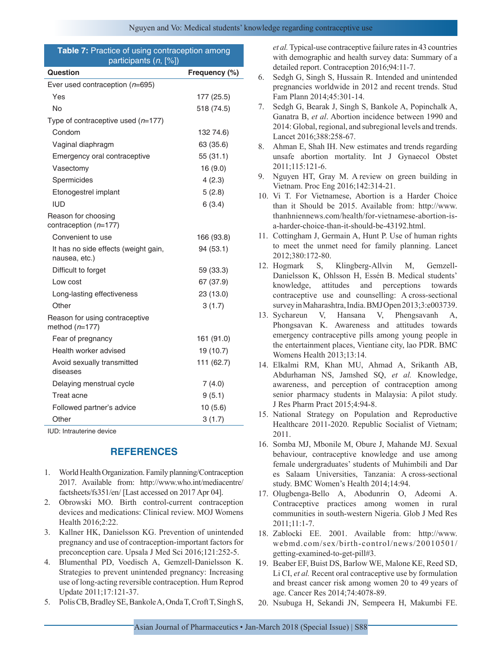#### **Table 7:** Practice of using contraception among participants (*n*, [%])

| Ever used contraception $(n=695)$<br>Yes<br>177 (25.5)<br>No<br>518 (74.5)<br>Type of contraceptive used $(n=177)$<br>Condom<br>132 74.6)<br>Vaginal diaphragm<br>63 (35.6)<br>Emergency oral contraceptive<br>55 (31.1)<br>16 (9.0)<br>Vasectomy<br>4(2.3)<br>Spermicides<br>5(2.8)<br>Etonogestrel implant<br><b>IUD</b><br>6(3.4)<br>Reason for choosing<br>contraception $(n=177)$<br>Convenient to use<br>166 (93.8)<br>It has no side effects (weight gain,<br>94 (53.1)<br>nausea, etc.)<br>Difficult to forget<br>59 (33.3)<br>Low cost<br>67 (37.9)<br>Long-lasting effectiveness<br>23 (13.0)<br>Other<br>3(1.7)<br>Reason for using contraceptive<br>method $(n=177)$<br>161 (91.0)<br>Fear of pregnancy<br>Health worker advised<br>19 (10.7)<br>Avoid sexually transmitted<br>111 (62.7)<br>diseases<br>Delaying menstrual cycle<br>7(4.0)<br>Treat acne<br>9(5.1)<br>Followed partner's advice<br>10 (5.6)<br>Other<br>3(1.7) | Question | Frequency (%) |
|---------------------------------------------------------------------------------------------------------------------------------------------------------------------------------------------------------------------------------------------------------------------------------------------------------------------------------------------------------------------------------------------------------------------------------------------------------------------------------------------------------------------------------------------------------------------------------------------------------------------------------------------------------------------------------------------------------------------------------------------------------------------------------------------------------------------------------------------------------------------------------------------------------------------------------------------|----------|---------------|
|                                                                                                                                                                                                                                                                                                                                                                                                                                                                                                                                                                                                                                                                                                                                                                                                                                                                                                                                             |          |               |
|                                                                                                                                                                                                                                                                                                                                                                                                                                                                                                                                                                                                                                                                                                                                                                                                                                                                                                                                             |          |               |
|                                                                                                                                                                                                                                                                                                                                                                                                                                                                                                                                                                                                                                                                                                                                                                                                                                                                                                                                             |          |               |
|                                                                                                                                                                                                                                                                                                                                                                                                                                                                                                                                                                                                                                                                                                                                                                                                                                                                                                                                             |          |               |
|                                                                                                                                                                                                                                                                                                                                                                                                                                                                                                                                                                                                                                                                                                                                                                                                                                                                                                                                             |          |               |
|                                                                                                                                                                                                                                                                                                                                                                                                                                                                                                                                                                                                                                                                                                                                                                                                                                                                                                                                             |          |               |
|                                                                                                                                                                                                                                                                                                                                                                                                                                                                                                                                                                                                                                                                                                                                                                                                                                                                                                                                             |          |               |
|                                                                                                                                                                                                                                                                                                                                                                                                                                                                                                                                                                                                                                                                                                                                                                                                                                                                                                                                             |          |               |
|                                                                                                                                                                                                                                                                                                                                                                                                                                                                                                                                                                                                                                                                                                                                                                                                                                                                                                                                             |          |               |
|                                                                                                                                                                                                                                                                                                                                                                                                                                                                                                                                                                                                                                                                                                                                                                                                                                                                                                                                             |          |               |
|                                                                                                                                                                                                                                                                                                                                                                                                                                                                                                                                                                                                                                                                                                                                                                                                                                                                                                                                             |          |               |
|                                                                                                                                                                                                                                                                                                                                                                                                                                                                                                                                                                                                                                                                                                                                                                                                                                                                                                                                             |          |               |
|                                                                                                                                                                                                                                                                                                                                                                                                                                                                                                                                                                                                                                                                                                                                                                                                                                                                                                                                             |          |               |
|                                                                                                                                                                                                                                                                                                                                                                                                                                                                                                                                                                                                                                                                                                                                                                                                                                                                                                                                             |          |               |
|                                                                                                                                                                                                                                                                                                                                                                                                                                                                                                                                                                                                                                                                                                                                                                                                                                                                                                                                             |          |               |
|                                                                                                                                                                                                                                                                                                                                                                                                                                                                                                                                                                                                                                                                                                                                                                                                                                                                                                                                             |          |               |
|                                                                                                                                                                                                                                                                                                                                                                                                                                                                                                                                                                                                                                                                                                                                                                                                                                                                                                                                             |          |               |
|                                                                                                                                                                                                                                                                                                                                                                                                                                                                                                                                                                                                                                                                                                                                                                                                                                                                                                                                             |          |               |
|                                                                                                                                                                                                                                                                                                                                                                                                                                                                                                                                                                                                                                                                                                                                                                                                                                                                                                                                             |          |               |
|                                                                                                                                                                                                                                                                                                                                                                                                                                                                                                                                                                                                                                                                                                                                                                                                                                                                                                                                             |          |               |
|                                                                                                                                                                                                                                                                                                                                                                                                                                                                                                                                                                                                                                                                                                                                                                                                                                                                                                                                             |          |               |
|                                                                                                                                                                                                                                                                                                                                                                                                                                                                                                                                                                                                                                                                                                                                                                                                                                                                                                                                             |          |               |
|                                                                                                                                                                                                                                                                                                                                                                                                                                                                                                                                                                                                                                                                                                                                                                                                                                                                                                                                             |          |               |
|                                                                                                                                                                                                                                                                                                                                                                                                                                                                                                                                                                                                                                                                                                                                                                                                                                                                                                                                             |          |               |
|                                                                                                                                                                                                                                                                                                                                                                                                                                                                                                                                                                                                                                                                                                                                                                                                                                                                                                                                             |          |               |
|                                                                                                                                                                                                                                                                                                                                                                                                                                                                                                                                                                                                                                                                                                                                                                                                                                                                                                                                             |          |               |

IUD: Intrauterine device

# **REFERENCES**

- 1. World Health Organization. Family planning/Contraception 2017. Available from: http://www.who.int/mediacentre/ factsheets/fs351/en/ [Last accessed on 2017 Apr 04].
- 2. Obrowski MO. Birth control-current contraception devices and medications: Clinical review. MOJ Womens Health 2016;2:22.
- 3. Kallner HK, Danielsson KG. Prevention of unintended pregnancy and use of contraception-important factors for preconception care. Upsala J Med Sci 2016;121:252-5.
- 4. Blumenthal PD, Voedisch A, Gemzell-Danielsson K. Strategies to prevent unintended pregnancy: Increasing use of long-acting reversible contraception. Hum Reprod Update 2011;17:121-37.
- 5. Polis CB, Bradley SE, Bankole A, Onda T, Croft T, Singh S,

*et al.* Typical-use contraceptive failure rates in 43 countries with demographic and health survey data: Summary of a detailed report. Contraception 2016;94:11-7.

- 6. Sedgh G, Singh S, Hussain R. Intended and unintended pregnancies worldwide in 2012 and recent trends. Stud Fam Plann 2014;45:301-14.
- 7. Sedgh G, Bearak J, Singh S, Bankole A, Popinchalk A, Ganatra B, *et al*. Abortion incidence between 1990 and 2014: Global, regional, and subregional levels and trends. Lancet 2016;388:258-67.
- 8. Ahman E, Shah IH. New estimates and trends regarding unsafe abortion mortality. Int J Gynaecol Obstet 2011;115:121-6.
- 9. Nguyen HT, Gray M. A review on green building in Vietnam. Proc Eng 2016;142:314-21.
- 10. Vi T. For Vietnamese, Abortion is a Harder Choice than it Should be 2015. Available from: http://www. thanhniennews.com/health/for-vietnamese-abortion-isa-harder-choice-than-it-should-be-43192.html.
- 11. Cottingham J, Germain A, Hunt P. Use of human rights to meet the unmet need for family planning. Lancet 2012;380:172-80.
- 12. Hogmark S, Klingberg-Allvin M, Gemzell-Danielsson K, Ohlsson H, Essén B. Medical students' knowledge, attitudes and perceptions towards contraceptive use and counselling: A cross-sectional survey in Maharashtra, India. BMJ Open 2013;3:e003739.
- 13. Sychareun V, Hansana V, Phengsavanh A, Phongsavan K. Awareness and attitudes towards emergency contraceptive pills among young people in the entertainment places, Vientiane city, lao PDR. BMC Womens Health 2013;13:14.
- 14. Elkalmi RM, Khan MU, Ahmad A, Srikanth AB, Abdurhaman NS, Jamshed SQ, *et al.* Knowledge, awareness, and perception of contraception among senior pharmacy students in Malaysia: A pilot study. J Res Pharm Pract 2015;4:94-8.
- 15. National Strategy on Population and Reproductive Healthcare 2011-2020. Republic Socialist of Vietnam; 2011.
- 16. Somba MJ, Mbonile M, Obure J, Mahande MJ. Sexual behaviour, contraceptive knowledge and use among female undergraduates' students of Muhimbili and Dar es Salaam Universities, Tanzania: A cross-sectional study. BMC Women's Health 2014;14:94.
- 17. Olugbenga-Bello A, Abodunrin O, Adeomi A. Contraceptive practices among women in rural communities in south-western Nigeria. Glob J Med Res 2011;11:1-7.
- 18. Zablocki EE. 2001. Available from: http://www. webmd.com/sex/birth-control/news/20010501/ getting-examined-to-get-pill#3.
- 19. Beaber EF, Buist DS, Barlow WE, Malone KE, Reed SD, Li CI, *et al.* Recent oral contraceptive use by formulation and breast cancer risk among women 20 to 49 years of age. Cancer Res 2014;74:4078-89.
- 20. Nsubuga H, Sekandi JN, Sempeera H, Makumbi FE.